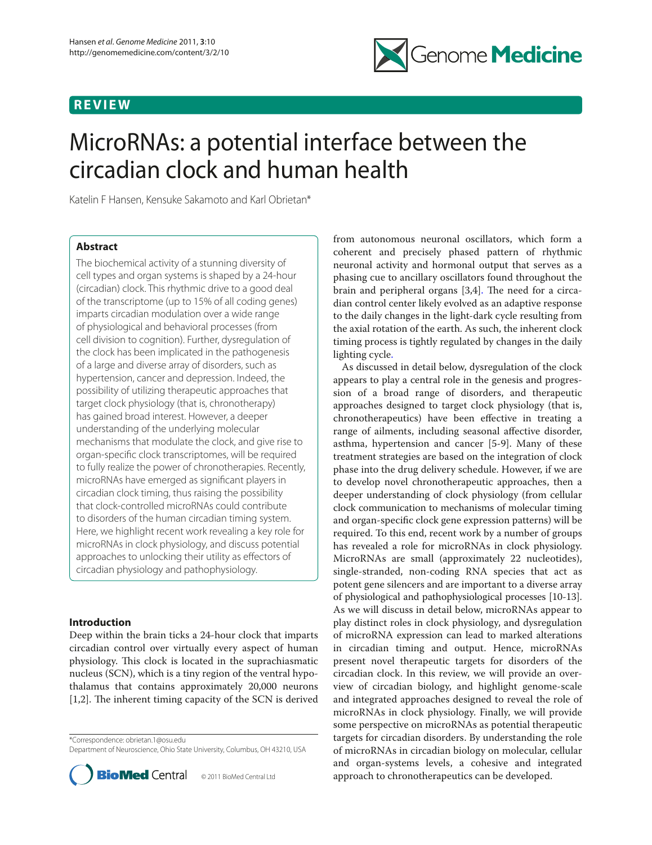## **REVIEW**



# MicroRNAs: a potential interface between the circadian clock and human health

Katelin F Hansen, Kensuke Sakamoto and Karl Obrietan\*

## **Abstract**

The biochemical activity of a stunning diversity of cell types and organ systems is shaped by a 24-hour (circadian) clock. This rhythmic drive to a good deal of the transcriptome (up to 15% of all coding genes) imparts circadian modulation over a wide range of physiological and behavioral processes (from cell division to cognition). Further, dysregulation of the clock has been implicated in the pathogenesis of a large and diverse array of disorders, such as hypertension, cancer and depression. Indeed, the possibility of utilizing therapeutic approaches that target clock physiology (that is, chronotherapy) has gained broad interest. However, a deeper understanding of the underlying molecular mechanisms that modulate the clock, and give rise to organ-specific clock transcriptomes, will be required to fully realize the power of chronotherapies. Recently, microRNAs have emerged as significant players in circadian clock timing, thus raising the possibility that clock-controlled microRNAs could contribute to disorders of the human circadian timing system. Here, we highlight recent work revealing a key role for microRNAs in clock physiology, and discuss potential approaches to unlocking their utility as effectors of circadian physiology and pathophysiology.

## **Introduction**

Deep within the brain ticks a 24-hour clock that imparts circadian control over virtually every aspect of human physiology. This clock is located in the suprachiasmatic nucleus (SCN), which is a tiny region of the ventral hypothalamus that contains approximately 20,000 neurons  $[1,2]$ . The inherent timing capacity of the SCN is derived

\*Correspondence: obrietan.1@osu.edu Department of Neuroscience, Ohio State University, Columbus, OH 43210, USA



from autonomous neuronal oscillators, which form a coherent and precisely phased pattern of rhythmic neuronal activity and hormonal output that serves as a phasing cue to ancillary oscillators found throughout the brain and peripheral organs  $[3,4]$ . The need for a circadian control center likely evolved as an adaptive response to the daily changes in the light-dark cycle resulting from the axial rotation of the earth. As such, the inherent clock timing process is tightly regulated by changes in the daily lighting cycle.

As discussed in detail below, dysregulation of the clock appears to play a central role in the genesis and progression of a broad range of disorders, and therapeutic approaches designed to target clock physiology (that is, chronotherapeutics) have been effective in treating a range of ailments, including seasonal affective disorder, asthma, hypertension and cancer [5-9]. Many of these treatment strategies are based on the integration of clock phase into the drug delivery schedule. However, if we are to develop novel chronotherapeutic approaches, then a deeper understanding of clock physiology (from cellular clock communication to mechanisms of molecular timing and organ-specific clock gene expression patterns) will be required. To this end, recent work by a number of groups has revealed a role for microRNAs in clock physiology. MicroRNAs are small (approximately 22 nucleotides), single-stranded, non-coding RNA species that act as potent gene silencers and are important to a diverse array of physiological and pathophysiological processes [10-13]. As we will discuss in detail below, microRNAs appear to play distinct roles in clock physiology, and dysregulation of microRNA expression can lead to marked alterations in circadian timing and output. Hence, microRNAs present novel therapeutic targets for disorders of the circadian clock. In this review, we will provide an overview of circadian biology, and highlight genome-scale and integrated approaches designed to reveal the role of microRNAs in clock physiology. Finally, we will provide some perspective on microRNAs as potential therapeutic targets for circadian disorders. By understanding the role of microRNAs in circadian biology on molecular, cellular and organ-systems levels, a cohesive and integrated approach to chronotherapeutics can be developed.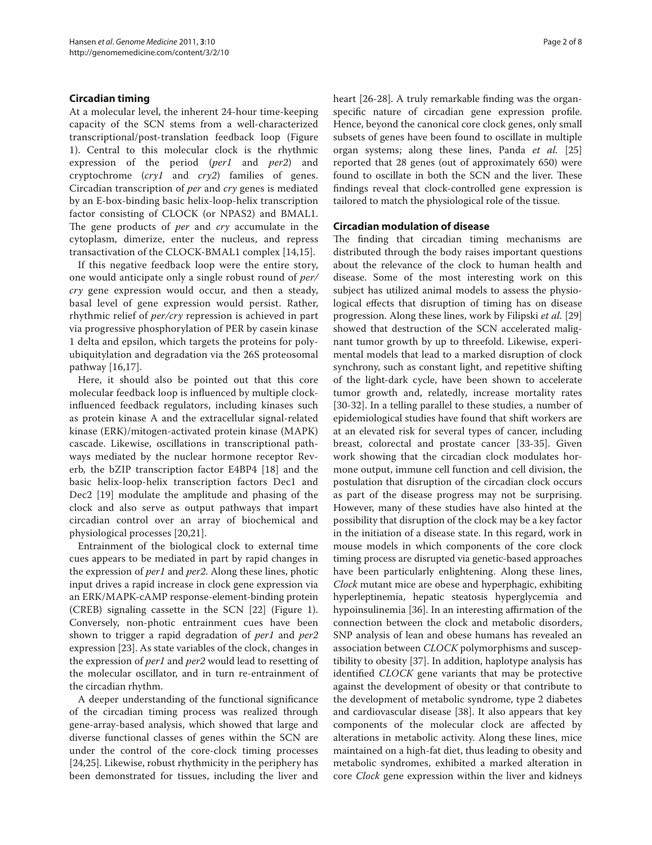## **Circadian timing**

At a molecular level, the inherent 24-hour time-keeping capacity of the SCN stems from a well-characterized transcriptional/post-translation feedback loop (Figure 1). Central to this molecular clock is the rhythmic expression of the period (*per1* and *per2*) and cryptochrome (*cry1* and *cry2*) families of genes. Circadian transcription of *per* and *cry* genes is mediated by an E-box-binding basic helix-loop-helix transcription factor consisting of CLOCK (or NPAS2) and BMAL1. The gene products of *per* and *cry* accumulate in the cytoplasm, dimerize, enter the nucleus, and repress transactivation of the CLOCK-BMAL1 complex [14,15].

If this negative feedback loop were the entire story, one would anticipate only a single robust round of *per/ cry* gene expression would occur, and then a steady, basal level of gene expression would persist. Rather, rhythmic relief of *per/cry* repression is achieved in part via progressive phosphorylation of PER by casein kinase 1 delta and epsilon, which targets the proteins for polyubiquitylation and degradation via the 26S proteosomal pathway [16,17].

Here, it should also be pointed out that this core molecular feedback loop is influenced by multiple clockinfluenced feedback regulators, including kinases such as protein kinase A and the extracellular signal-related kinase (ERK)/mitogen-activated protein kinase (MAPK) cascade. Likewise, oscillations in transcriptional pathways mediated by the nuclear hormone receptor Reverb*,* the bZIP transcription factor E4BP4 [18] and the basic helix-loop-helix transcription factors Dec1 and Dec2 [19] modulate the amplitude and phasing of the clock and also serve as output pathways that impart circadian control over an array of biochemical and physiological processes [20,21].

Entrainment of the biological clock to external time cues appears to be mediated in part by rapid changes in the expression of *per1* and *per2*. Along these lines, photic input drives a rapid increase in clock gene expression via an ERK/MAPK-cAMP response-element-binding protein (CREB) signaling cassette in the SCN [22] (Figure 1). Conversely, non-photic entrainment cues have been shown to trigger a rapid degradation of *per1* and *per2* expression [23]. As state variables of the clock, changes in the expression of *per1* and *per2* would lead to resetting of the molecular oscillator, and in turn re-entrainment of the circadian rhythm.

A deeper understanding of the functional significance of the circadian timing process was realized through gene-array-based analysis, which showed that large and diverse functional classes of genes within the SCN are under the control of the core-clock timing processes [24,25]. Likewise, robust rhythmicity in the periphery has been demonstrated for tissues, including the liver and heart [26-28]. A truly remarkable finding was the organspecific nature of circadian gene expression profile. Hence, beyond the canonical core clock genes, only small subsets of genes have been found to oscillate in multiple organ systems; along these lines, Panda *et al.* [25] reported that 28 genes (out of approximately 650) were found to oscillate in both the SCN and the liver. These findings reveal that clock-controlled gene expression is tailored to match the physiological role of the tissue.

## **Circadian modulation of disease**

The finding that circadian timing mechanisms are distributed through the body raises important questions about the relevance of the clock to human health and disease. Some of the most interesting work on this subject has utilized animal models to assess the physiological effects that disruption of timing has on disease progression. Along these lines, work by Filipski *et al.* [29] showed that destruction of the SCN accelerated malignant tumor growth by up to threefold. Likewise, experimental models that lead to a marked disruption of clock synchrony, such as constant light, and repetitive shifting of the light-dark cycle, have been shown to accelerate tumor growth and, relatedly, increase mortality rates [30-32]. In a telling parallel to these studies, a number of epidemiological studies have found that shift workers are at an elevated risk for several types of cancer, including breast, colorectal and prostate cancer [33-35]. Given work showing that the circadian clock modulates hormone output, immune cell function and cell division, the postulation that disruption of the circadian clock occurs as part of the disease progress may not be surprising. However, many of these studies have also hinted at the possibility that disruption of the clock may be a key factor in the initiation of a disease state. In this regard, work in mouse models in which components of the core clock timing process are disrupted via genetic-based approaches have been particularly enlightening. Along these lines, *Clock* mutant mice are obese and hyperphagic, exhibiting hyperleptinemia, hepatic steatosis hyperglycemia and hypoinsulinemia [36]. In an interesting affirmation of the connection between the clock and metabolic disorders, SNP analysis of lean and obese humans has revealed an association between *CLOCK* polymorphisms and susceptibility to obesity [37]. In addition, haplotype analysis has identified *CLOCK* gene variants that may be protective against the development of obesity or that contribute to the development of metabolic syndrome, type 2 diabetes and cardiovascular disease [38]. It also appears that key components of the molecular clock are affected by alterations in metabolic activity. Along these lines, mice maintained on a high-fat diet, thus leading to obesity and metabolic syndromes, exhibited a marked alteration in core *Clock* gene expression within the liver and kidneys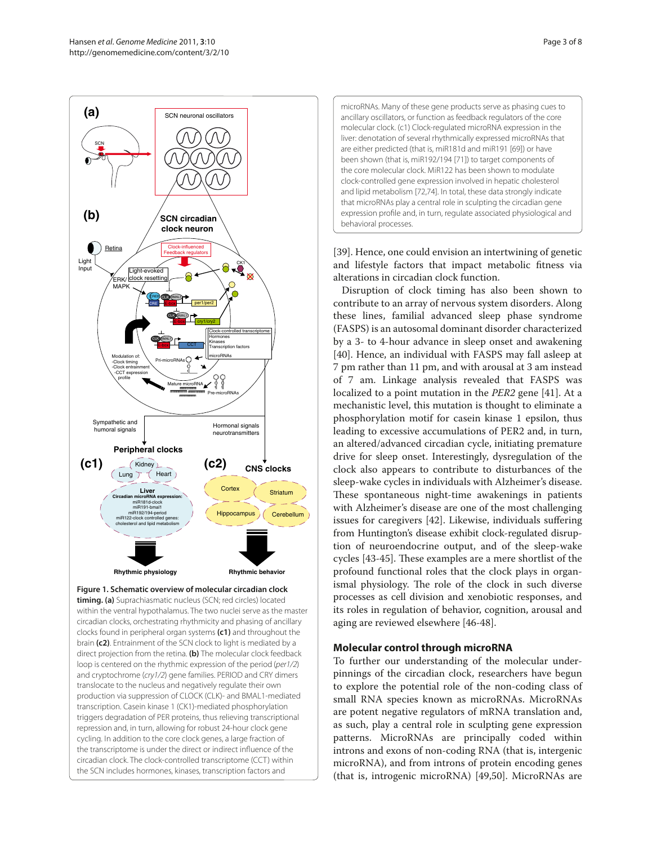

**Figure 1. Schematic overview of molecular circadian clock timing. (a)** Suprachiasmatic nucleus (SCN; red circles) located within the ventral hypothalamus. The two nuclei serve as the master circadian clocks, orchestrating rhythmicity and phasing of ancillary clocks found in peripheral organ systems **(c1)** and throughout the brain **(c2)**. Entrainment of the SCN clock to light is mediated by a direct projection from the retina. **(b)** The molecular clock feedback loop is centered on the rhythmic expression of the period (*per1/2*) and cryptochrome (*cry1/2*) gene families. PERIOD and CRY dimers translocate to the nucleus and negatively regulate their own production via suppression of CLOCK (CLK)- and BMAL1-mediated transcription. Casein kinase 1 (CK1)-mediated phosphorylation triggers degradation of PER proteins, thus relieving transcriptional repression and, in turn, allowing for robust 24-hour clock gene cycling. In addition to the core clock genes, a large fraction of the transcriptome is under the direct or indirect influence of the circadian clock. The clock-controlled transcriptome (CCT) within the SCN includes hormones, kinases, transcription factors and



[39]. Hence, one could envision an intertwining of genetic and lifestyle factors that impact metabolic fitness via alterations in circadian clock function.

Disruption of clock timing has also been shown to contribute to an array of nervous system disorders. Along these lines, familial advanced sleep phase syndrome (FASPS) is an autosomal dominant disorder characterized by a 3- to 4-hour advance in sleep onset and awakening [40]. Hence, an individual with FASPS may fall asleep at 7 pm rather than 11 pm, and with arousal at 3 am instead of 7 am. Linkage analysis revealed that FASPS was localized to a point mutation in the *PER2* gene [41]. At a mechanistic level, this mutation is thought to eliminate a phosphorylation motif for casein kinase 1 epsilon, thus leading to excessive accumulations of PER2 and, in turn, an altered/advanced circadian cycle, initiating premature drive for sleep onset. Interestingly, dysregulation of the clock also appears to contribute to disturbances of the sleep-wake cycles in individuals with Alzheimer's disease. These spontaneous night-time awakenings in patients with Alzheimer's disease are one of the most challenging issues for caregivers [42]. Likewise, individuals suffering from Huntington's disease exhibit clock-regulated disruption of neuroendocrine output, and of the sleep-wake cycles [43-45]. These examples are a mere shortlist of the profound functional roles that the clock plays in organismal physiology. The role of the clock in such diverse processes as cell division and xenobiotic responses, and its roles in regulation of behavior, cognition, arousal and aging are reviewed elsewhere [46-48].

## **Molecular control through microRNA**

To further our understanding of the molecular underpinnings of the circadian clock, researchers have begun to explore the potential role of the non-coding class of small RNA species known as microRNAs. MicroRNAs are potent negative regulators of mRNA translation and, as such, play a central role in sculpting gene expression patterns. MicroRNAs are principally coded within introns and exons of non-coding RNA (that is, intergenic microRNA), and from introns of protein encoding genes (that is, introgenic microRNA) [49,50]. MicroRNAs are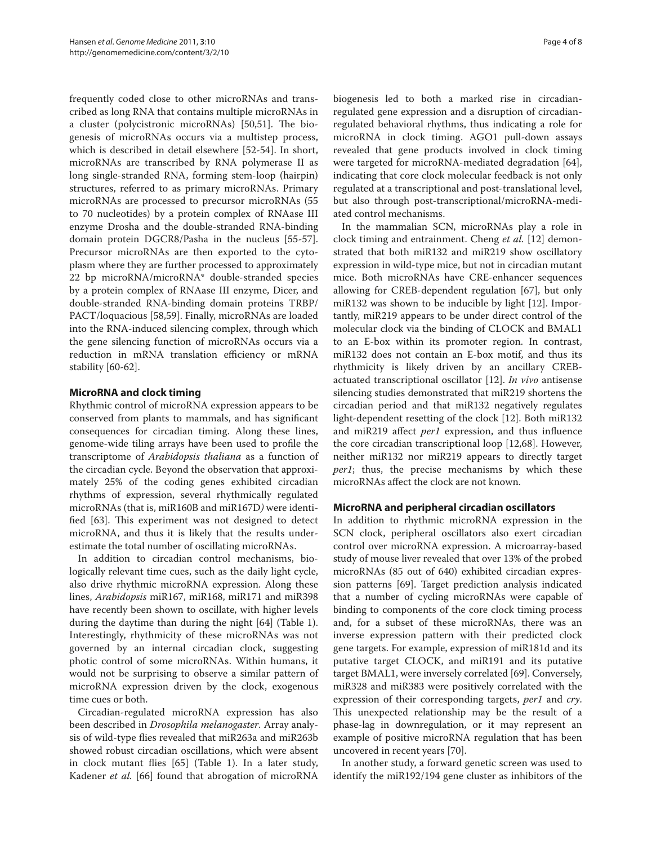frequently coded close to other microRNAs and transcribed as long RNA that contains multiple microRNAs in a cluster (polycistronic microRNAs) [50,51]. The biogenesis of microRNAs occurs via a multistep process, which is described in detail elsewhere [52-54]. In short, microRNAs are transcribed by RNA polymerase II as long single-stranded RNA, forming stem-loop (hairpin) structures, referred to as primary microRNAs. Primary microRNAs are processed to precursor microRNAs (55 to 70 nucleotides) by a protein complex of RNAase III enzyme Drosha and the double-stranded RNA-binding domain protein DGCR8/Pasha in the nucleus [55-57]. Precursor microRNAs are then exported to the cytoplasm where they are further processed to approximately 22 bp microRNA/microRNA\* double-stranded species by a protein complex of RNAase III enzyme, Dicer, and double-stranded RNA-binding domain proteins TRBP/ PACT/loquacious [58,59]. Finally, microRNAs are loaded into the RNA-induced silencing complex, through which the gene silencing function of microRNAs occurs via a reduction in mRNA translation efficiency or mRNA stability [60-62].

## **MicroRNA and clock timing**

Rhythmic control of microRNA expression appears to be conserved from plants to mammals, and has significant consequences for circadian timing. Along these lines, genome-wide tiling arrays have been used to profile the transcriptome of *Arabidopsis thaliana* as a function of the circadian cycle. Beyond the observation that approximately 25% of the coding genes exhibited circadian rhythms of expression, several rhythmically regulated microRNAs (that is, miR160B and miR167D*)* were identified [63]. This experiment was not designed to detect microRNA, and thus it is likely that the results underestimate the total number of oscillating microRNAs.

In addition to circadian control mechanisms, biologically relevant time cues, such as the daily light cycle, also drive rhythmic microRNA expression. Along these lines, *Arabidopsis* miR167, miR168, miR171 and miR398 have recently been shown to oscillate, with higher levels during the daytime than during the night [64] (Table 1). Interestingly, rhythmicity of these microRNAs was not governed by an internal circadian clock, suggesting photic control of some microRNAs. Within humans, it would not be surprising to observe a similar pattern of microRNA expression driven by the clock, exogenous time cues or both.

Circadian-regulated microRNA expression has also been described in *Drosophila melanogaster*. Array analysis of wild-type flies revealed that miR263a and miR263b showed robust circadian oscillations, which were absent in clock mutant flies [65] (Table 1). In a later study, Kadener *et al.* [66] found that abrogation of microRNA biogenesis led to both a marked rise in circadianregulated gene expression and a disruption of circadianregulated behavioral rhythms, thus indicating a role for microRNA in clock timing. AGO1 pull-down assays revealed that gene products involved in clock timing were targeted for microRNA-mediated degradation [64], indicating that core clock molecular feedback is not only regulated at a transcriptional and post-translational level, but also through post-transcriptional/microRNA-mediated control mechanisms.

In the mammalian SCN, microRNAs play a role in clock timing and entrainment. Cheng *et al.* [12] demonstrated that both miR132 and miR219 show oscillatory expression in wild-type mice, but not in circadian mutant mice. Both microRNAs have CRE-enhancer sequences allowing for CREB-dependent regulation [67], but only miR132 was shown to be inducible by light [12]. Importantly, miR219 appears to be under direct control of the molecular clock via the binding of CLOCK and BMAL1 to an E-box within its promoter region. In contrast, miR132 does not contain an E-box motif, and thus its rhythmicity is likely driven by an ancillary CREBactuated transcriptional oscillator [12]. *In vivo* antisense silencing studies demonstrated that miR219 shortens the circadian period and that miR132 negatively regulates light-dependent resetting of the clock [12]. Both miR132 and miR219 affect *per1* expression, and thus influence the core circadian transcriptional loop [12,68]. However, neither miR132 nor miR219 appears to directly target *per1*; thus, the precise mechanisms by which these microRNAs affect the clock are not known.

## **MicroRNA and peripheral circadian oscillators**

In addition to rhythmic microRNA expression in the SCN clock, peripheral oscillators also exert circadian control over microRNA expression. A microarray-based study of mouse liver revealed that over 13% of the probed microRNAs (85 out of 640) exhibited circadian expression patterns [69]. Target prediction analysis indicated that a number of cycling microRNAs were capable of binding to components of the core clock timing process and, for a subset of these microRNAs, there was an inverse expression pattern with their predicted clock gene targets. For example, expression of miR181d and its putative target CLOCK, and miR191 and its putative target BMAL1, were inversely correlated [69]. Conversely, miR328 and miR383 were positively correlated with the expression of their corresponding targets, *per1* and *cry*. This unexpected relationship may be the result of a phase-lag in downregulation, or it may represent an example of positive microRNA regulation that has been uncovered in recent years [70].

In another study, a forward genetic screen was used to identify the miR192/194 gene cluster as inhibitors of the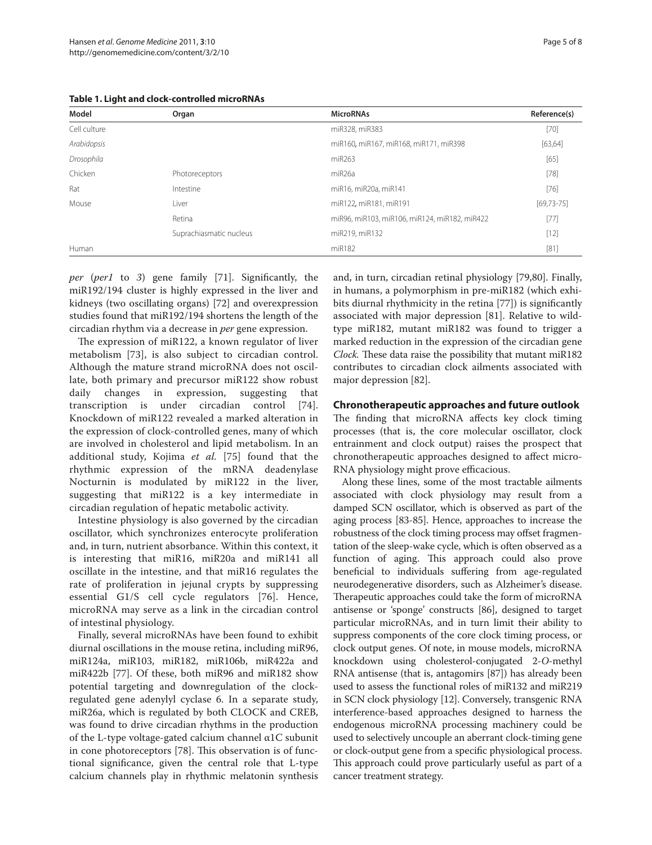| Model        | Organ                   | <b>MicroRNAs</b>                              | Reference(s)    |
|--------------|-------------------------|-----------------------------------------------|-----------------|
| Cell culture |                         | miR328, miR383                                | $[70]$          |
| Arabidopsis  |                         | miR160, miR167, miR168, miR171, miR398        | [63, 64]        |
| Drosophila   |                         | miR263                                        | $[65]$          |
| Chicken      | Photoreceptors          | miR <sub>26a</sub>                            | $[78]$          |
| Rat          | Intestine               | miR16, miR20a, miR141                         | $[76]$          |
| Mouse        | Liver                   | miR122, miR181, miR191                        | $[69, 73 - 75]$ |
|              | Retina                  | miR96, miR103, miR106, miR124, miR182, miR422 | $[77]$          |
|              | Suprachiasmatic nucleus | miR219, miR132                                | $[12]$          |
| Human        |                         | miR182                                        | $[81]$          |

**Table 1. Light and clock-controlled microRNAs**

*per* (*per1* to *3*) gene family [71]. Significantly, the miR192/194 cluster is highly expressed in the liver and kidneys (two oscillating organs) [72] and overexpression studies found that miR192/194 shortens the length of the circadian rhythm via a decrease in *per* gene expression.

The expression of miR122, a known regulator of liver metabolism [73], is also subject to circadian control. Although the mature strand microRNA does not oscillate, both primary and precursor miR122 show robust daily changes in expression, suggesting that transcription is under circadian control [74]. Knockdown of miR122 revealed a marked alteration in the expression of clock-controlled genes, many of which are involved in cholesterol and lipid metabolism. In an additional study, Kojima *et al.* [75] found that the rhythmic expression of the mRNA deadenylase Nocturnin is modulated by miR122 in the liver, suggesting that miR122 is a key intermediate in circadian regulation of hepatic metabolic activity.

Intestine physiology is also governed by the circadian oscillator, which synchronizes enterocyte proliferation and, in turn, nutrient absorbance. Within this context, it is interesting that miR16, miR20a and miR141 all oscillate in the intestine, and that miR16 regulates the rate of proliferation in jejunal crypts by suppressing essential G1/S cell cycle regulators [76]. Hence, microRNA may serve as a link in the circadian control of intestinal physiology.

Finally, several microRNAs have been found to exhibit diurnal oscillations in the mouse retina, including miR96, miR124a, miR103, miR182, miR106b, miR422a and miR422b [77]. Of these, both miR96 and miR182 show potential targeting and downregulation of the clockregulated gene adenylyl cyclase 6. In a separate study, miR26a, which is regulated by both CLOCK and CREB, was found to drive circadian rhythms in the production of the L-type voltage-gated calcium channel α1C subunit in cone photoreceptors [78]. This observation is of functional significance, given the central role that L-type calcium channels play in rhythmic melatonin synthesis and, in turn, circadian retinal physiology [79,80]. Finally, in humans, a polymorphism in pre-miR182 (which exhibits diurnal rhythmicity in the retina [77]) is significantly associated with major depression [81]. Relative to wildtype miR182, mutant miR182 was found to trigger a marked reduction in the expression of the circadian gene *Clock.* These data raise the possibility that mutant miR182 contributes to circadian clock ailments associated with major depression [82].

## **Chronotherapeutic approaches and future outlook**

The finding that microRNA affects key clock timing processes (that is, the core molecular oscillator, clock entrainment and clock output) raises the prospect that chronotherapeutic approaches designed to affect micro-RNA physiology might prove efficacious.

Along these lines, some of the most tractable ailments associated with clock physiology may result from a damped SCN oscillator, which is observed as part of the aging process [83-85]. Hence, approaches to increase the robustness of the clock timing process may offset fragmentation of the sleep-wake cycle, which is often observed as a function of aging. This approach could also prove beneficial to individuals suffering from age-regulated neurodegenerative disorders, such as Alzheimer's disease. Therapeutic approaches could take the form of microRNA antisense or 'sponge' constructs [86], designed to target particular microRNAs, and in turn limit their ability to suppress components of the core clock timing process, or clock output genes. Of note, in mouse models, microRNA knockdown using cholesterol-conjugated 2-*O*-methyl RNA antisense (that is, antagomirs [87]) has already been used to assess the functional roles of miR132 and miR219 in SCN clock physiology [12]. Conversely, transgenic RNA interference-based approaches designed to harness the endogenous microRNA processing machinery could be used to selectively uncouple an aberrant clock-timing gene or clock-output gene from a specific physiological process. This approach could prove particularly useful as part of a cancer treatment strategy.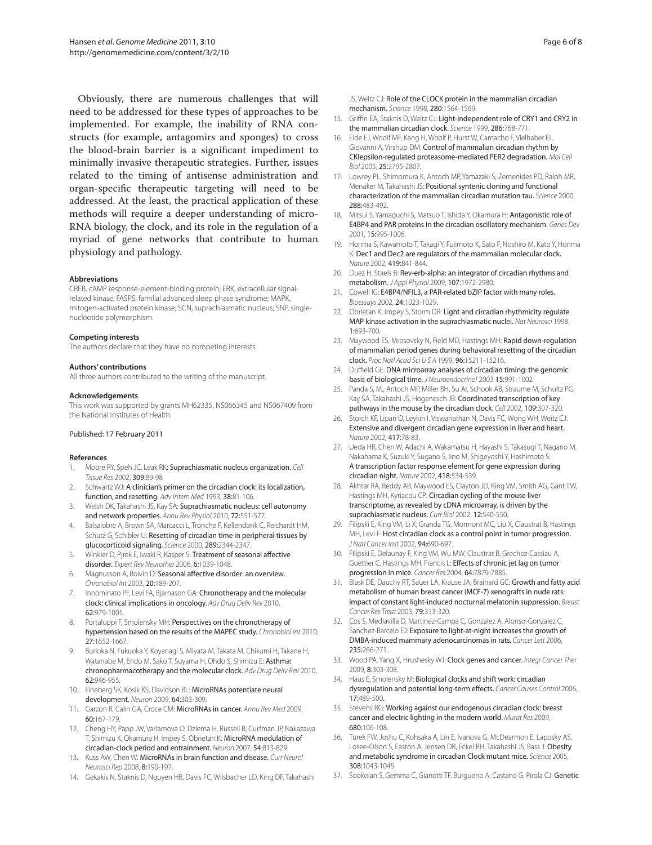Obviously, there are numerous challenges that will need to be addressed for these types of approaches to be implemented. For example, the inability of RNA constructs (for example, antagomirs and sponges) to cross the blood-brain barrier is a significant impediment to minimally invasive therapeutic strategies. Further, issues related to the timing of antisense administration and organ-specific therapeutic targeting will need to be addressed. At the least, the practical application of these methods will require a deeper understanding of micro-RNA biology, the clock, and its role in the regulation of a myriad of gene networks that contribute to human physiology and pathology.

#### **Abbreviations**

CREB, cAMP response-element-binding protein; ERK, extracellular signalrelated kinase; FASPS, familial advanced sleep phase syndrome; MAPK, mitogen-activated protein kinase; SCN, suprachiasmatic nucleus; SNP, singlenucleotide polymorphism.

#### **Competing interests**

The authors declare that they have no competing interests.

#### **Authors' contributions**

All three authors contributed to the writing of the manuscript.

#### **Acknowledgements**

This work was supported by grants MH62335, NS066345 and NS067409 from the National Institutes of Health.

#### Published: 17 February 2011

#### **References**

- 1. Moore RY, Speh JC, Leak RK: Suprachiasmatic nucleus organization. *Cell Tissue Res* 2002, 309:89-98
- 2. Schwartz WJ: A clinician's primer on the circadian clock: its localization, function, and resetting. *Adv Intern Med* 1993, 38:81-106.
- 3. Welsh DK, Takahashi JS, Kay SA: Suprachiasmatic nucleus: cell autonomy and network properties. *Annu Rev Physiol* 2010, 72:551-577.
- 4. Balsalobre A, Brown SA, Marcacci L, Tronche F, Kellendonk C, Reichardt HM, Schutz G, Schibler U: Resetting of circadian time in peripheral tissues by glucocorticoid signaling. *Science* 2000, 289:2344-2347.
- 5. Winkler D, Pjrek E, Iwaki R, Kasper S: Treatment of seasonal affective disorder. *Expert Rev Neurother* 2006, 6:1039-1048.
- 6. Magnusson A, Boivin D: Seasonal affective disorder: an overview. *Chronobiol Int* 2003, 20:189-207.
- 7. Innominato PF, Levi FA, Bjarnason GA: Chronotherapy and the molecular clock: clinical implications in oncology. *Adv Drug Deliv Rev* 2010, 62:979-1001.
- 8. Portaluppi F, Smolensky MH: Perspectives on the chronotherapy of hypertension based on the results of the MAPEC study. *Chronobiol Int* 2010, 27:1652-1667.
- 9. Burioka N, Fukuoka Y, Koyanagi S, Miyata M, Takata M, Chikumi H, Takane H, Watanabe M, Endo M, Sako T, Suyama H, Ohdo S, Shimizu E: Asthma: chronopharmacotherapy and the molecular clock. *Adv Drug Deliv Rev* 2010, 62:946-955.
- 10. Fineberg SK, Kosik KS, Davidson BL: MicroRNAs potentiate neural development. *Neuron* 2009, 64:303-309.
- 11. Garzon R, Calin GA, Croce CM: MicroRNAs in cancer. *Annu Rev Med* 2009, 60:167-179.
- 12. Cheng HY, Papp JW, Varlamova O, Dziema H, Russell B, Curfman JP, Nakazawa T, Shimizu K, Okamura H, Impey S, Obrietan K: MicroRNA modulation of circadian-clock period and entrainment. *Neuron* 2007, 54:813-829.
- 13. Kuss AW, Chen W: MicroRNAs in brain function and disease. *Curr Neurol Neurosci Rep* 2008, 8:190-197.
- 14. Gekakis N, Staknis D, Nguyen HB, Davis FC, Wilsbacher LD, King DP, Takahashi

JS, Weitz CJ: Role of the CLOCK protein in the mammalian circadian mechanism. *Science* 1998, 280:1564-1569.

- 15. Griffin EA, Staknis D, Weitz CJ: Light-independent role of CRY1 and CRY2 in the mammalian circadian clock. *Science* 1999, 286:768-771.
- 16. Eide EJ, Woolf MF, Kang H, Woolf P, Hurst W, Camacho F, Vielhaber EL, Giovanni A, Virshup DM: Control of mammalian circadian rhythm by CKIepsilon-regulated proteasome-mediated PER2 degradation. *Mol Cell Biol* 2005, 25:2795-2807.
- 17. Lowrey PL, Shimomura K, Antoch MP, Yamazaki S, Zemenides PD, Ralph MR, Menaker M, Takahashi JS: Positional syntenic cloning and functional characterization of the mammalian circadian mutation tau. *Science* 2000, 288:483-492.
- 18. Mitsui S, Yamaguchi S, Matsuo T, Ishida Y, Okamura H: Antagonistic role of E4BP4 and PAR proteins in the circadian oscillatory mechanism. *Genes Dev*  2001, 15:995-1006.
- 19. Honma S, Kawamoto T, Takagi Y, Fujimoto K, Sato F, Noshiro M, Kato Y, Honma K: Dec1 and Dec2 are regulators of the mammalian molecular clock. *Nature* 2002, 419:841-844.
- 20. Duez H, Staels B: Rev-erb-alpha: an integrator of circadian rhythms and metabolism. *J Appl Physiol* 2009, 107:1972-2980.
- 21. Cowell IG: E4BP4/NFIL3, a PAR-related bZIP factor with many roles. *Bioessays* 2002, 24:1023-1029.
- 22. Obrietan K, Impey S, Storm DR: Light and circadian rhythmicity regulate MAP kinase activation in the suprachiasmatic nuclei. *Nat Neurosci* 1998, 1:693-700.
- 23. Maywood ES, Mrosovsky N, Field MD, Hastings MH: Rapid down-regulation of mammalian period genes during behavioral resetting of the circadian clock. *Proc Natl Acad Sci U S A* 1999, 96:15211-15216.
- 24. Duffield GE: DNA microarray analyses of circadian timing: the genomic basis of biological time. *J Neuroendocrinol* 2003 15:991-1002
- 25. Panda S, M., Antoch MP, Miller BH, Su AI, Schook AB, Straume M, Schultz PG, Kay SA, Takahashi JS, Hogenesch JB: Coordinated transcription of key pathways in the mouse by the circadian clock. *Cell* 2002, 109:307-320.
- 26. Storch KF, Lipan O, Leykin I, Viswanathan N, Davis FC, Wong WH, Weitz CJ: Extensive and divergent circadian gene expression in liver and heart. *Nature* 2002, 417:78-83.
- 27. Ueda HR, Chen W, Adachi A, Wakamatsu H, Hayashi S, Takasugi T, Nagano M, Nakahama K, Suzuki Y, Sugano S, Iino M, Shigeyoshi Y, Hashimoto S: A transcription factor response element for gene expression during circadian night. *Nature* 2002, 418:534-539.
- 28. Akhtar RA, Reddy AB, Maywood ES, Clayton JD, King VM, Smith AG, Gant TW, Hastings MH, Kyriacou CP: Circadian cycling of the mouse liver transcriptome, as revealed by cDNA microarray, is driven by the suprachiasmatic nucleus. *Curr Biol* 2002, 12:540-550.
- 29. Filipski E, King VM, Li X, Granda TG, Mormont MC, Liu X, Claustrat B, Hastings MH, Levi F: Host circadian clock as a control point in tumor progression. *J Natl Cancer Inst* 2002, 94:690-697.
- 30. Filipski E, Delaunay F, King VM, Wu MW, Claustrat B, Grechez-Cassiau A, Guettier C, Hastings MH, Francis L: Effects of chronic jet lag on tumor progression in mice. *Cancer Res* 2004, 64:7879-7885.
- 31. Blask DE, Dauchy RT, Sauer LA, Krause JA, Brainard GC: Growth and fatty acid metabolism of human breast cancer (MCF-7) xenografts in nude rats: impact of constant light-induced nocturnal melatonin suppression. *Breast Cancer Res Treat* 2003, 79:313-320.
- 32. Cos S, Mediavilla D, Martinez-Campa C, Gonzalez A, Alonso-Gonzalez C, Sanchez-Barcelo EJ: Exposure to light-at-night increases the growth of DMBA-induced mammary adenocarcinomas in rats. *Cancer Lett* 2006, 235:266-271.
- 33. Wood PA, Yang X, Hrushesky WJ: Clock genes and cancer. *Integr Cancer Ther*  2009, 8:303-308.
- 34. Haus E, Smolensky M: Biological clocks and shift work: circadian dysregulation and potential long-term effects. *Cancer Causes Control* 2006, 17:489-500.
- 35. Stevens RG: Working against our endogenous circadian clock: breast cancer and electric lighting in the modern world. *Mutat Res* 2009, 680:106-108.
- 36. Turek FW, Joshu C, Kohsaka A, Lin E, Ivanova G, McDearmon E, Laposky AS, Losee-Olson S, Easton A, Jensen DR, Eckel RH, Takahashi JS, Bass J: Obesity and metabolic syndrome in circadian Clock mutant mice. *Science* 2005, 308:1043-1045.
- 37. Sookoian S, Gemma C, Gianotti TF, Burgueno A, Castano G, Pirola CJ: Genetic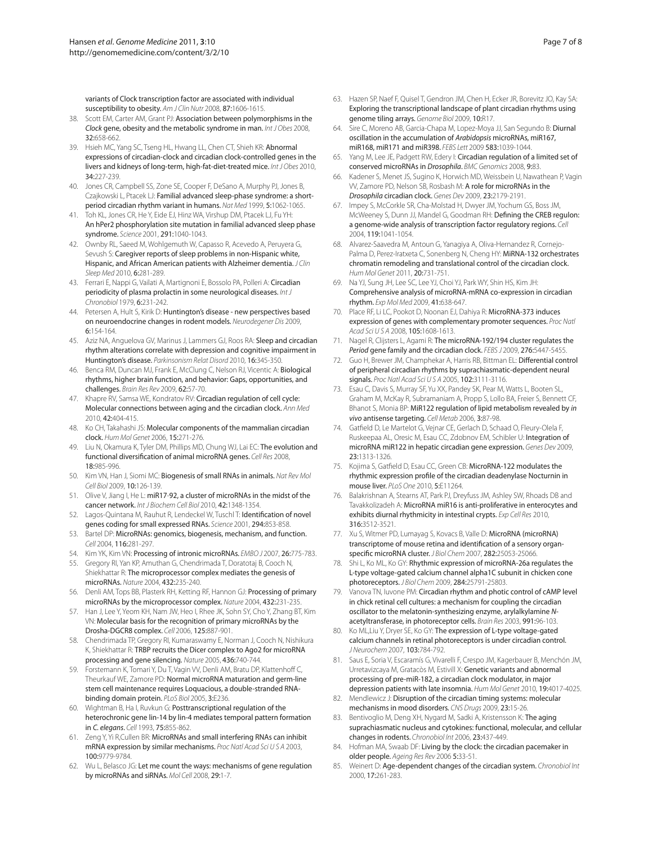variants of Clock transcription factor are associated with individual susceptibility to obesity. *Am J Clin Nutr* 2008, 87:1606-1615.

- Scott EM, Carter AM, Grant PJ: Association between polymorphisms in the *Clock* gene, obesity and the metabolic syndrome in man. *Int J Obes* 2008, 32:658-662.
- 39. Hsieh MC, Yang SC, Tseng HL, Hwang LL, Chen CT, Shieh KR: Abnormal expressions of circadian-clock and circadian clock-controlled genes in the livers and kidneys of long-term, high-fat-diet-treated mice. *Int J Obes* 2010, 34:227-239.
- 40. Jones CR, Campbell SS, Zone SE, Cooper F, DeSano A, Murphy PJ, Jones B, Czajkowski L, Ptacek LJ: Familial advanced sleep-phase syndrome: a shortperiod circadian rhythm variant in humans. *Nat Med* 1999, 5:1062-1065.
- 41. Toh KL, Jones CR, He Y, Eide EJ, Hinz WA, Virshup DM, Ptacek LJ, Fu YH: An hPer2 phosphorylation site mutation in familial advanced sleep phase syndrome. *Science* 2001, 291:1040-1043.
- 42. Ownby RL, Saeed M, Wohlgemuth W, Capasso R, Acevedo A, Peruyera G, Sevush S: Caregiver reports of sleep problems in non-Hispanic white, Hispanic, and African American patients with Alzheimer dementia. *J Clin Sleep Med* 2010, 6:281-289.
- 43. Ferrari E, Nappi G, Vailati A, Martignoni E, Bossolo PA, Polleri A: Circadian periodicity of plasma prolactin in some neurological diseases. *Int J Chronobiol* 1979, 6:231-242.
- 44. Petersen A, Hult S, Kirik D: Huntington's disease new perspectives based on neuroendocrine changes in rodent models. *Neurodegener Dis* 2009, 6:154-164.
- 45. Aziz NA, Anguelova GV, Marinus J, Lammers GJ, Roos RA: Sleep and circadian rhythm alterations correlate with depression and cognitive impairment in Huntington's disease. *Parkinsonism Relat Disord* 2010, 16:345-350.
- Benca RM, Duncan MJ, Frank E, McClung C, Nelson RJ, Vicentic A: Biological rhythms, higher brain function, and behavior: Gaps, opportunities, and challenges. *Brain Res Rev* 2009, 62:57-70.
- 47. Khapre RV, Samsa WE, Kondratov RV: Circadian regulation of cell cycle: Molecular connections between aging and the circadian clock. *Ann Med*  2010, 42:404-415.
- 48. Ko CH, Takahashi JS: Molecular components of the mammalian circadian clock. *Hum Mol Genet* 2006, 15:271-276.
- 49. Liu N, Okamura K, Tyler DM, Phillips MD, Chung WJ, Lai EC: The evolution and functional diversification of animal microRNA genes. *Cell Res* 2008, 18:985-996.
- 50. Kim VN, Han J, Siomi MC: Biogenesis of small RNAs in animals. *Nat Rev Mol Cell Biol* 2009, 10:126-139.
- 51. Olive V, Jiang I, He L: miR17-92, a cluster of microRNAs in the midst of the cancer network. *Int J Biochem Cell Biol* 2010, 42:1348-1354.
- 52. Lagos-Quintana M, Rauhut R, Lendeckel W, Tuschl T: Identification of novel genes coding for small expressed RNAs. *Science* 2001, 294:853-858.
- 53. Bartel DP: MicroRNAs: genomics, biogenesis, mechanism, and function. *Cell* 2004, 116:281-297.
- 54. Kim YK, Kim VN: Processing of intronic microRNAs. *EMBO J* 2007, 26:775-783.
- 55. Gregory RI, Yan KP, Amuthan G, Chendrimada T, Doratotaj B, Cooch N, Shiekhattar R: The microprocessor complex mediates the genesis of microRNAs. *Nature* 2004, 432:235-240.
- 56. Denli AM, Tops BB, Plasterk RH, Ketting RF, Hannon GJ: Processing of primary microRNAs by the microprocessor complex. *Nature* 2004, 432:231-235.
- 57. Han J, Lee Y, Yeom KH, Nam JW, Heo I, Rhee JK, Sohn SY, Cho Y, Zhang BT, Kim VN: Molecular basis for the recognition of primary microRNAs by the Drosha-DGCR8 complex. *Cell* 2006, 125:887-901.
- 58. Chendrimada TP, Gregory RI, Kumaraswamy E, Norman J, Cooch N, Nishikura K, Shiekhattar R: TRBP recruits the Dicer complex to Ago2 for microRNA processing and gene silencing. *Nature* 2005, 436:740-744.
- 59. Forstemann K, Tomari Y, Du T, Vagin VV, Denli AM, Bratu DP, Klattenhoff C, Theurkauf WE, Zamore PD: Normal microRNA maturation and germ-line stem cell maintenance requires Loquacious, a double-stranded RNAbinding domain protein. *PLoS Biol* 2005, 3:E236.
- 60. Wightman B, Ha I, Ruvkun G: Posttranscriptional regulation of the heterochronic gene lin-14 by lin-4 mediates temporal pattern formation in *C. elegans*. *Cell* 1993, 75:855-862.
- 61. Zeng Y, Yi R,Cullen BR: MicroRNAs and small interfering RNAs can inhibit mRNA expression by similar mechanisms. *Proc Natl Acad Sci U S A* 2003, 100:9779-9784.
- 62. Wu L, Belasco JG: Let me count the ways: mechanisms of gene regulation by microRNAs and siRNAs. *Mol Cell* 2008, 29:1-7.
- 63. Hazen SP, Naef F, Quisel T, Gendron JM, Chen H, Ecker JR, Borevitz JO, Kay SA: Exploring the transcriptional landscape of plant circadian rhythms using genome tiling arrays. *Genome Biol* 2009, 10:R17.
- 64. Sire C, Moreno AB, Garcia-Chapa M, Lopez-Moya JJ, San Segundo B: Diurnal oscillation in the accumulation of *Arabidopsis* microRNAs, miR167, miR168, miR171 and miR398. *FEBS Lett* 2009 583:1039-1044.
- 65. Yang M, Lee JE, Padgett RW, Edery I: Circadian regulation of a limited set of conserved microRNAs in *Drosophila*. *BMC Genomics* 2008, 9:83.
- 66. Kadener S, Menet JS, Sugino K, Horwich MD, Weissbein U, Nawathean P, Vagin VV, Zamore PD, Nelson SB, Rosbash M: A role for microRNAs in the *Drosophila* circadian clock. *Genes Dev* 2009, 23:2179-2191.
- 67. Impey S, McCorkle SR, Cha-Molstad H, Dwyer JM, Yochum GS, Boss JM, McWeeney S, Dunn JJ, Mandel G, Goodman RH: Defining the CREB regulon: a genome-wide analysis of transcription factor regulatory regions. *Cell*  2004, 119:1041-1054.
- 68. Alvarez-Saavedra M, Antoun G, Yanagiya A, Oliva-Hernandez R, Cornejo-Palma D, Perez-Iratxeta C, Sonenberg N, Cheng HY: MiRNA-132 orchestrates chromatin remodeling and translational control of the circadian clock. *Hum Mol Genet* 2011, 20:731-751.
- 69. Na YJ, Sung JH, Lee SC, Lee YJ, Choi YJ, Park WY, Shin HS, Kim JH: Comprehensive analysis of microRNA-mRNA co-expression in circadian rhythm. *Exp Mol Med* 2009, 41:638-647.
- 70. Place RF, Li LC, Pookot D, Noonan EJ, Dahiya R: MicroRNA-373 induces expression of genes with complementary promoter sequences. *Proc Natl Acad Sci U S A* 2008, 105:1608-1613.
- 71. Nagel R, Clijsters L, Agami R: The microRNA-192/194 cluster regulates the *Period* gene family and the circadian clock. *FEBS J* 2009, 276:5447-5455.
- Guo H, Brewer JM, Champhekar A, Harris RB, Bittman EL: Differential control of peripheral circadian rhythms by suprachiasmatic-dependent neural signals. *Proc Natl Acad Sci U S A* 2005, 102:3111-3116.
- 73. Esau C, Davis S, Murray SF, Yu XX, Pandey SK, Pear M, Watts L, Booten SL, Graham M, McKay R, Subramaniam A, Propp S, Lollo BA, Freier S, Bennett CF, Bhanot S, Monia BP: MiR122 regulation of lipid metabolism revealed by *in vivo* antisense targeting. *Cell Metab* 2006, 3:87-98.
- 74. Gatfield D, Le Martelot G, Vejnar CE, Gerlach D, Schaad O, Fleury-Olela F, Ruskeepaa AL, Oresic M, Esau CC, Zdobnov EM, Schibler U: Integration of microRNA miR122 in hepatic circadian gene expression. *Genes Dev* 2009, 23:1313-1326.
- 75. Kojima S, Gatfield D, Esau CC, Green CB: MicroRNA-122 modulates the rhythmic expression profile of the circadian deadenylase Nocturnin in mouse liver. *PLoS One* 2010, 5:E11264.
- 76. Balakrishnan A, Stearns AT, Park PJ, Dreyfuss JM, Ashley SW, Rhoads DB and Tavakkolizadeh A: MicroRNA miR16 is anti-proliferative in enterocytes and exhibits diurnal rhythmicity in intestinal crypts. *Exp Cell Res* 2010, 316:3512-3521.
- 77. Xu S, Witmer PD, Lumayag S, Kovacs B, Valle D: MicroRNA (microRNA) transcriptome of mouse retina and identification of a sensory organspecific microRNA cluster. *J Biol Chem* 2007, 282:25053-25066.
- 78. Shi L, Ko ML, Ko GY: Rhythmic expression of microRNA-26a regulates the L-type voltage-gated calcium channel alpha1C subunit in chicken cone photoreceptors. *J Biol Chem* 2009, 284:25791-25803.
- 79. Vanova TN, Iuvone PM: Circadian rhythm and photic control of cAMP level in chick retinal cell cultures: a mechanism for coupling the circadian oscillator to the melatonin-synthesizing enzyme, arylalkylamine *N*acetyltransferase, in photoreceptor cells. *Brain Res* 2003, 991:96-103.
- 80. Ko ML, Liu Y, Dryer SE, Ko GY: The expression of L-type voltage-gated calcium channels in retinal photoreceptors is under circadian control. *J Neurochem* 2007, 103:784-792.
- 81. Saus E, Soria V, Escaramís G, Vivarelli F, Crespo JM, Kagerbauer B, Menchón JM, Urretavizcaya M, Gratacòs M, Estivill X: Genetic variants and abnormal processing of pre-miR-182, a circadian clock modulator, in major depression patients with late insomnia. *Hum Mol Genet* 2010, 19:4017-4025.
- 82. Mendlewicz J: Disruption of the circadian timing systems: molecular mechanisms in mood disorders*. CNS Drugs* 2009, 23:15*-*26*.*
- 83. Bentivoglio M, Deng XH, Nygard M, Sadki A, Kristensson K: The aging suprachiasmatic nucleus and cytokines: functional, molecular, and cellular changes in rodents. *Chronobiol Int* 2006, 23:437-449.
- Hofman MA, Swaab DF: Living by the clock: the circadian pacemaker in older people. *Ageing Res Rev* 2006 5:33-51.
- 85. Weinert D: Age-dependent changes of the circadian system. *Chronobiol Int*  2000, 17:261-283.